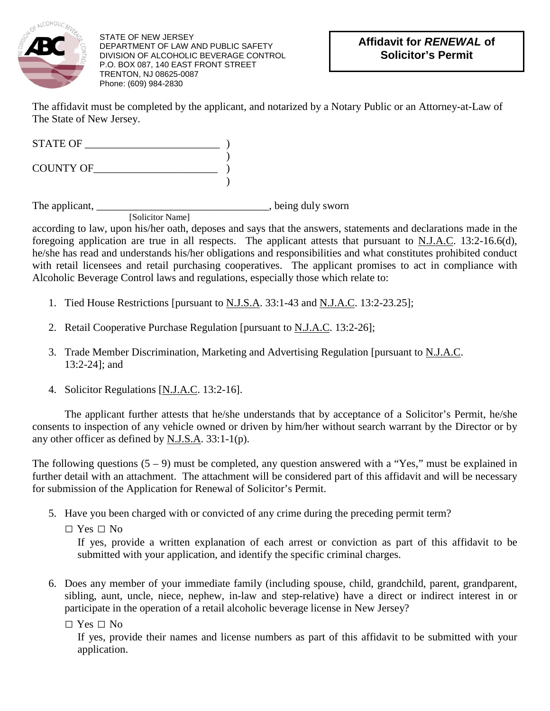

STATE OF NEW JERSEY DEPARTMENT OF LAW AND PUBLIC SAFETY DIVISION OF ALCOHOLIC BEVERAGE CONTROL P.O. BOX 087, 140 EAST FRONT STREET TRENTON, NJ 08625-0087 Phone: (609) 984-2830

The affidavit must be completed by the applicant, and notarized by a Notary Public or an Attorney-at-Law of The State of New Jersey.

STATE OF \_\_\_\_\_\_\_\_\_\_\_\_\_\_\_\_\_\_\_\_\_\_\_\_\_ ) ) COUNTY OF\_\_\_\_\_\_\_\_\_\_\_\_\_\_\_\_\_\_\_\_\_\_\_ ) )

The applicant, \_\_\_\_\_\_\_\_\_\_\_\_\_\_\_\_\_\_\_\_\_\_\_\_\_\_\_\_\_\_\_\_, being duly sworn [Solicitor Name]

according to law, upon his/her oath, deposes and says that the answers, statements and declarations made in the foregoing application are true in all respects. The applicant attests that pursuant to  $N.J.A.C.$  13:2-16.6(d), he/she has read and understands his/her obligations and responsibilities and what constitutes prohibited conduct with retail licensees and retail purchasing cooperatives. The applicant promises to act in compliance with Alcoholic Beverage Control laws and regulations, especially those which relate to:

- 1. Tied House Restrictions [pursuant to N.J.S.A. 33:1-43 and N.J.A.C. 13:2-23.25];
- 2. Retail Cooperative Purchase Regulation [pursuant to N.J.A.C. 13:2-26];
- 3. Trade Member Discrimination, Marketing and Advertising Regulation [pursuant to N.J.A.C. 13:2-24]; and
- 4. Solicitor Regulations [N.J.A.C. 13:2-16].

The applicant further attests that he/she understands that by acceptance of a Solicitor's Permit, he/she consents to inspection of any vehicle owned or driven by him/her without search warrant by the Director or by any other officer as defined by N.J.S.A. 33:1-1(p).

The following questions  $(5 - 9)$  must be completed, any question answered with a "Yes," must be explained in further detail with an attachment. The attachment will be considered part of this affidavit and will be necessary for submission of the Application for Renewal of Solicitor's Permit.

5. Have you been charged with or convicted of any crime during the preceding permit term?

 $\Box$  Yes  $\Box$  No

If yes, provide a written explanation of each arrest or conviction as part of this affidavit to be submitted with your application, and identify the specific criminal charges.

- 6. Does any member of your immediate family (including spouse, child, grandchild, parent, grandparent, sibling, aunt, uncle, niece, nephew, in-law and step-relative) have a direct or indirect interest in or participate in the operation of a retail alcoholic beverage license in New Jersey?
	- $\Box$  Yes  $\Box$  No

If yes, provide their names and license numbers as part of this affidavit to be submitted with your application.